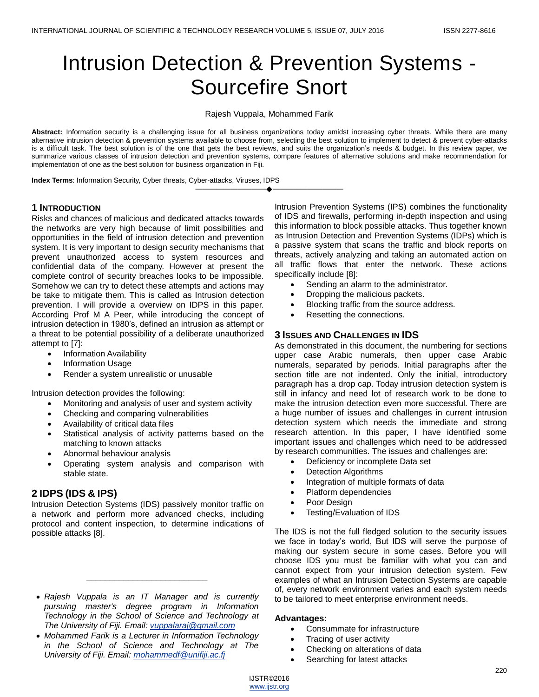# Intrusion Detection & Prevention Systems - Sourcefire Snort

Rajesh Vuppala, Mohammed Farik

**Abstract:** Information security is a challenging issue for all business organizations today amidst increasing cyber threats. While there are many alternative intrusion detection & prevention systems available to choose from, selecting the best solution to implement to detect & prevent cyber-attacks is a difficult task. The best solution is of the one that gets the best reviews, and suits the organization's needs & budget. In this review paper, we summarize various classes of intrusion detection and prevention systems, compare features of alternative solutions and make recommendation for implementation of one as the best solution for business organization in Fiji.

————————————————————

**Index Terms**: Information Security, Cyber threats, Cyber-attacks, Viruses, IDPS

# **1 INTRODUCTION**

Risks and chances of malicious and dedicated attacks towards the networks are very high because of limit possibilities and opportunities in the field of intrusion detection and prevention system. It is very important to design security mechanisms that prevent unauthorized access to system resources and confidential data of the company. However at present the complete control of security breaches looks to be impossible. Somehow we can try to detect these attempts and actions may be take to mitigate them. This is called as Intrusion detection prevention. I will provide a overview on IDPS in this paper. According Prof M A Peer, while introducing the concept of intrusion detection in 1980's, defined an intrusion as attempt or a threat to be potential possibility of a deliberate unauthorized attempt to [7]:

- Information Availability
- Information Usage
- Render a system unrealistic or unusable

Intrusion detection provides the following:

- Monitoring and analysis of user and system activity
- Checking and comparing vulnerabilities
- Availability of critical data files
- Statistical analysis of activity patterns based on the matching to known attacks
- Abnormal behaviour analysis
- Operating system analysis and comparison with stable state.

# **2 IDPS (IDS & IPS)**

Intrusion Detection Systems (IDS) passively monitor traffic on a network and perform more advanced checks, including protocol and content inspection, to determine indications of possible attacks [8].

 *Rajesh Vuppala is an IT Manager and is currently pursuing master's degree program in Information Technology in the School of Science and Technology at The University of Fiji. Email: [vuppalaraj@gmail.com](mailto:vuppalaraj@gmail.com)*

*\_\_\_\_\_\_\_\_\_\_\_\_\_\_\_\_\_\_\_\_\_\_\_\_\_\_*

 *Mohammed Farik is a Lecturer in Information Technology in the School of Science and Technology at The University of Fiji. Email: [mohammedf@unifiji.ac.fj](mailto:mohammedf@unifiji.ac.fj)*

Intrusion Prevention Systems (IPS) combines the functionality of IDS and firewalls, performing in-depth inspection and using this information to block possible attacks. Thus together known as Intrusion Detection and Prevention Systems (IDPs) which is a passive system that scans the traffic and block reports on threats, actively analyzing and taking an automated action on all traffic flows that enter the network. These actions specifically include [8]:

- Sending an alarm to the administrator.
- Dropping the malicious packets.
- Blocking traffic from the source address.
- Resetting the connections.

# **3 ISSUES AND CHALLENGES IN IDS**

As demonstrated in this document, the numbering for sections upper case Arabic numerals, then upper case Arabic numerals, separated by periods. Initial paragraphs after the section title are not indented. Only the initial, introductory paragraph has a drop cap. Today intrusion detection system is still in infancy and need lot of research work to be done to make the intrusion detection even more successful. There are a huge number of issues and challenges in current intrusion detection system which needs the immediate and strong research attention. In this paper, I have identified some important issues and challenges which need to be addressed by research communities. The issues and challenges are:

- Deficiency or incomplete Data set
- Detection Algorithms
- Integration of multiple formats of data
- Platform dependencies
- Poor Design
- Testing/Evaluation of IDS

The IDS is not the full fledged solution to the security issues we face in today's world, But IDS will serve the purpose of making our system secure in some cases. Before you will choose IDS you must be familiar with what you can and cannot expect from your intrusion detection system. Few examples of what an Intrusion Detection Systems are capable of, every network environment varies and each system needs to be tailored to meet enterprise environment needs.

#### **Advantages:**

- Consummate for infrastructure
- Tracing of user activity
- Checking on alterations of data
- Searching for latest attacks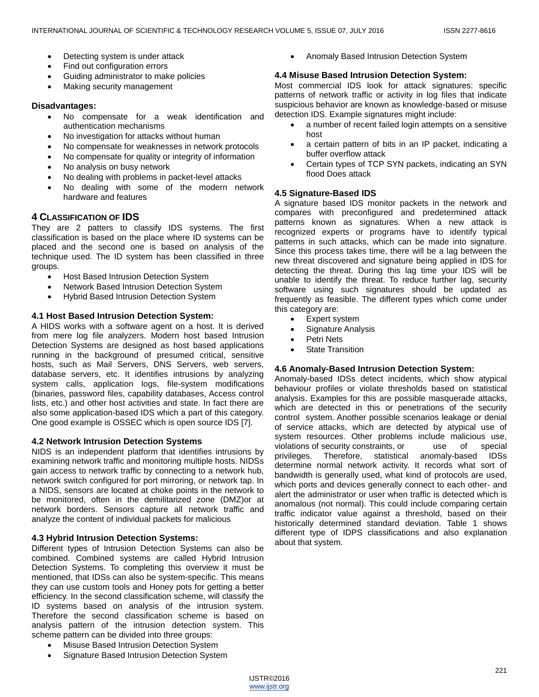- Detecting system is under attack
- Find out configuration errors
- Guiding administrator to make policies
- Making security management

#### **Disadvantages:**

- No compensate for a weak identification and authentication mechanisms
- No investigation for attacks without human
- No compensate for weaknesses in network protocols
- No compensate for quality or integrity of information
- No analysis on busy network
- No dealing with problems in packet-level attacks
- No dealing with some of the modern network hardware and features

# **4 CLASSIFICATION OF IDS**

They are 2 patters to classify IDS systems. The first classification is based on the place where ID systems can be placed and the second one is based on analysis of the technique used. The ID system has been classified in three groups.

- Host Based Intrusion Detection System
- Network Based Intrusion Detection System
- Hybrid Based Intrusion Detection System

#### **4.1 Host Based Intrusion Detection System:**

A HIDS works with a software agent on a host. It is derived from mere log file analyzers. Modern host based Intrusion Detection Systems are designed as host based applications running in the background of presumed critical, sensitive hosts, such as Mail Servers, DNS Servers, web servers, database servers, etc. It identifies intrusions by analyzing system calls, application logs, file-system modifications (binaries, password files, capability databases, Access control lists, etc.) and other host activities and state. In fact there are also some application-based IDS which a part of this category. One good example is OSSEC which is open source IDS [7].

#### **4.2 Network Intrusion Detection Systems**

NIDS is an independent platform that identifies intrusions by examining network traffic and monitoring multiple hosts. NIDSs gain access to network traffic by connecting to a network hub, network switch configured for port mirroring, or network tap. In a NIDS, sensors are located at choke points in the network to be monitored, often in the demilitarized zone (DMZ)or at network borders. Sensors capture all network traffic and analyze the content of individual packets for malicious

# **4.3 Hybrid Intrusion Detection Systems:**

Different types of Intrusion Detection Systems can also be combined. Combined systems are called Hybrid Intrusion Detection Systems. To completing this overview it must be mentioned, that IDSs can also be system-specific. This means they can use custom tools and Honey pots for getting a better efficiency. In the second classification scheme, will classify the ID systems based on analysis of the intrusion system. Therefore the second classification scheme is based on analysis pattern of the intrusion detection system. This scheme pattern can be divided into three groups:

- Misuse Based Intrusion Detection System
- Signature Based Intrusion Detection System

Anomaly Based Intrusion Detection System

#### **4.4 Misuse Based Intrusion Detection System:**

Most commercial IDS look for attack signatures: specific patterns of network traffic or activity in log files that indicate suspicious behavior are known as knowledge-based or misuse detection IDS. Example signatures might include:

- a number of recent failed login attempts on a sensitive host
- a certain pattern of bits in an IP packet, indicating a buffer overflow attack
- Certain types of TCP SYN packets, indicating an SYN flood Does attack

# **4.5 Signature-Based IDS**

A signature based IDS monitor packets in the network and compares with preconfigured and predetermined attack patterns known as signatures. When a new attack is recognized experts or programs have to identify typical patterns in such attacks, which can be made into signature. Since this process takes time, there will be a lag between the new threat discovered and signature being applied in IDS for detecting the threat. During this lag time your IDS will be unable to identify the threat. To reduce further lag, security software using such signatures should be updated as frequently as feasible. The different types which come under this category are:

- Expert system
- Signature Analysis
- Petri Nets
- State Transition

# **4.6 Anomaly-Based Intrusion Detection System:**

Anomaly-based IDSs detect incidents, which show atypical behaviour profiles or violate thresholds based on statistical analysis. Examples for this are possible masquerade attacks, which are detected in this or penetrations of the security control system. Another possible scenarios leakage or denial of service attacks, which are detected by atypical use of system resources. Other problems include malicious use, violations of security constraints, or use of special privileges. Therefore, statistical anomaly-based IDSs determine normal network activity. It records what sort of bandwidth is generally used, what kind of protocols are used, which ports and devices generally connect to each other- and alert the administrator or user when traffic is detected which is anomalous (not normal). This could include comparing certain traffic indicator value against a threshold, based on their historically determined standard deviation. Table 1 shows different type of IDPS classifications and also explanation about that system.

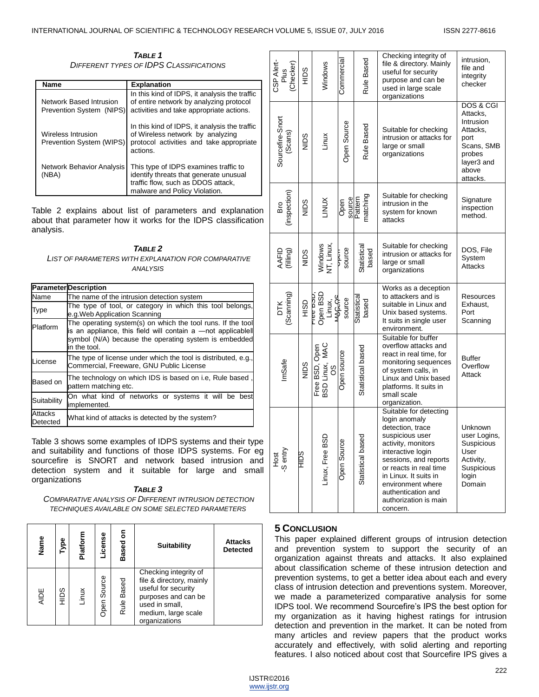*TABLE 1 DIFFERENT TYPES OF IDPS CLASSIFICATIONS*

| Name                                                  | <b>Explanation</b>                                                                                                                                     |
|-------------------------------------------------------|--------------------------------------------------------------------------------------------------------------------------------------------------------|
| Network Based Intrusion<br>Prevention System (NIPS)   | In this kind of IDPS, it analysis the traffic<br>of entire network by analyzing protocol<br>activities and take appropriate actions.                   |
| <b>Wireless Intrusion</b><br>Prevention System (WIPS) | In this kind of IDPS, it analysis the traffic<br>of Wireless network by analyzing<br>protocol activities and take appropriate<br>actions.              |
| <b>Network Behavior Analysis</b><br>(NBA)             | This type of IDPS examines traffic to<br>identify threats that generate unusual<br>traffic flow, such as DDOS attack,<br>malware and Policy Violation. |

Table 2 explains about list of parameters and explanation about that parameter how it works for the IDPS classification analysis.

*TABLE 2 LIST OF PARAMETERS WITH EXPLANATION FOR COMPARATIVE ANALYSIS*

|                     | <b>Parameter</b> Description                                                                                                                                                                         |  |  |  |  |  |
|---------------------|------------------------------------------------------------------------------------------------------------------------------------------------------------------------------------------------------|--|--|--|--|--|
| Name                | The name of the intrusion detection system                                                                                                                                                           |  |  |  |  |  |
| Type                | The type of tool, or category in which this tool belongs,<br>e.g. Web Application Scanning                                                                                                           |  |  |  |  |  |
| Platform            | The operating system(s) on which the tool runs. If the tool<br>is an appliance, this field will contain a -not applicablell<br>symbol (N/A) because the operating system is embedded<br>in the tool. |  |  |  |  |  |
| License             | The type of license under which the tool is distributed, e.g.,<br>Commercial, Freeware, GNU Public License                                                                                           |  |  |  |  |  |
| Based on            | The technology on which IDS is based on i.e, Rule based,<br>pattern matching etc.                                                                                                                    |  |  |  |  |  |
| Suitability         | On what kind of networks or systems it will be best<br>implemented.                                                                                                                                  |  |  |  |  |  |
| Attacks<br>Detected | What kind of attacks is detected by the system?                                                                                                                                                      |  |  |  |  |  |

Table 3 shows some examples of IDPS systems and their type and suitability and functions of those IDPS systems. For eg sourcefire is SNORT and network based intrusion and detection system and it suitable for large and small organizations

*TABLE 3 COMPARATIVE ANALYSIS OF DIFFERENT INTRUSION DETECTION TECHNIQUES AVAILABLE ON SOME SELECTED PARAMETERS*

| Name        | Type | Platform | License     | ō٥<br><b>Based</b> | <b>Suitability</b>                                                                                                                                        | <b>Attacks</b><br><b>Detected</b> |
|-------------|------|----------|-------------|--------------------|-----------------------------------------------------------------------------------------------------------------------------------------------------------|-----------------------------------|
| <b>AIDE</b> | SQIH | Linux    | Open Source | Rule Based         | Checking integrity of<br>file & directory, mainly<br>useful for security<br>purposes and can be<br>used in small,<br>medium, large scale<br>organizations |                                   |

| CSP Alert-<br>(Checker)<br>Plus | <b>SQIH</b>  | Windows                                          | Commercial       | Rule Based                    | Checking integrity of<br>file & directory. Mainly<br>useful for security<br>purpose and can be<br>used in large scale<br>organizations                                                                                                                                                | intrusion,<br>file and<br>integrity<br>checker                                                                    |
|---------------------------------|--------------|--------------------------------------------------|------------------|-------------------------------|---------------------------------------------------------------------------------------------------------------------------------------------------------------------------------------------------------------------------------------------------------------------------------------|-------------------------------------------------------------------------------------------------------------------|
| Sourcefire-Snort<br>(Scans)     | NIDS         | Linux                                            | Open Source      | Rule Based                    | Suitable for checking<br>intrusion or attacks for<br>large or small<br>organizations                                                                                                                                                                                                  | DOS & CGI<br>Attacks,<br>Intrusion<br>Attacks,<br>port<br>Scans, SMB<br>probes<br>layer3 and<br>above<br>attacks. |
| (inspection)<br>Bro             | Sain         | LINUX                                            | Open             | matching<br>source<br>Pattern | Suitable for checking<br>intrusion in the<br>system for known<br>attacks                                                                                                                                                                                                              | Signature<br>inspection<br>method.                                                                                |
| AAFID<br>(filling)              | NIDS         | Windows<br>NT, Linux,                            | source<br>p<br>P | Statistical<br>based          | Suitable for checking<br>intrusion or attacks for<br>large or small<br>organizations                                                                                                                                                                                                  | DOS, File<br>System<br><b>Attacks</b>                                                                             |
| (Scanning)<br><b>DTK</b>        | <b>CISIH</b> | Open BSD<br>ססים שפו<br><b>RAGAS</b><br>Linux,   | source           | Statistical<br>based          | Works as a deception<br>to attackers and is<br>suitable in Linux and<br>Unix based systems.<br>It suits in single user<br>environment.                                                                                                                                                | Resources<br>Exhaust,<br>Port<br>Scanning                                                                         |
| ImSafe                          | SalN         | Free BSD, MAC<br>BSD Linux, MAC<br>MeqO (CSB ear | Open source      | Statistical based             | Suitable for buffer<br>overflow attacks and<br>react in real time, for<br>monitoring sequences<br>of system calls, in<br>Linux and Unix based<br>platforms. It suits in<br>small scale<br>organization.                                                                               | <b>Buffer</b><br>Overflow<br>Attack                                                                               |
| Host<br>-S entry                | <b>SGILL</b> | GSD<br>Linux, Free B                             | ö<br>Open Sourc  | sed<br>Statistical ba         | Suitable for detecting<br>login anomaly<br>detection, trace<br>suspicious user<br>activity, monitors<br>interactive login<br>sessions, and reports<br>or reacts in real time<br>in Linux. It suits in<br>environment where<br>authentication and<br>authorization is main<br>concern. | Unknown<br>user Logins,<br>Suspicious<br>User<br>Activity,<br>Suspicious<br>login<br>Domain                       |

#### **5 CONCLUSION**

This paper explained different groups of intrusion detection and prevention system to support the security of an organization against threats and attacks. It also explained about classification scheme of these intrusion detection and prevention systems, to get a better idea about each and every class of intrusion detection and preventions system. Moreover, we made a parameterized comparative analysis for some IDPS tool. We recommend Sourcefire's IPS the best option for my organization as it having highest ratings for intrusion detection and prevention in the market. It can be noted from many articles and review papers that the product works accurately and effectively, with solid alerting and reporting features. I also noticed about cost that Sourcefire IPS gives a